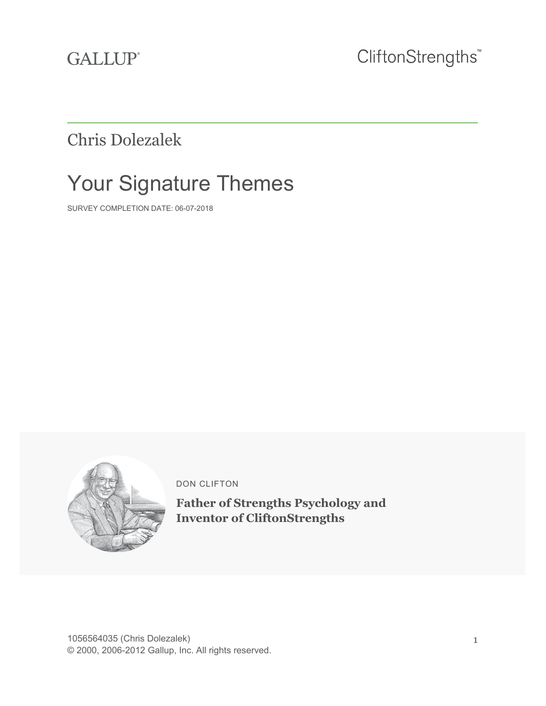#### **GALLUP**\*

CliftonStrengths<sup>™</sup>

Chris Dolezalek

## Your Signature Themes

SURVEY COMPLETION DATE: 06-07-2018



DON CLIFTON

**Father of Strengths Psychology and Inventor of CliftonStrengths**

1056564035 (Chris Dolezalek) © 2000, 2006-2012 Gallup, Inc. All rights reserved.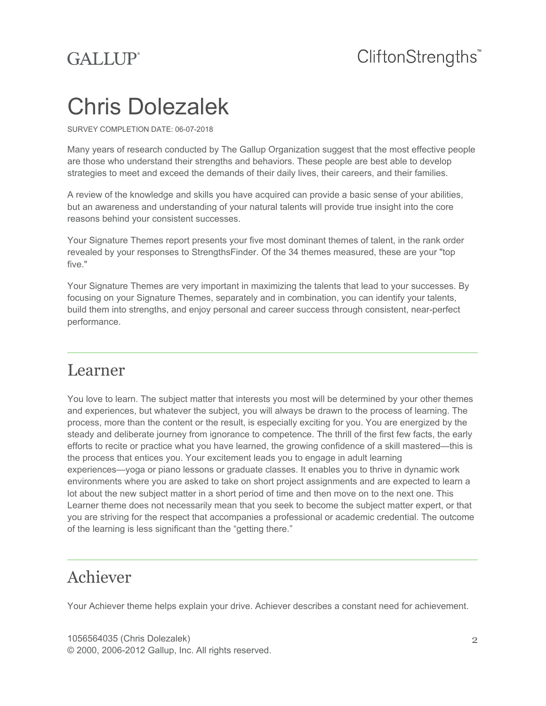# Chris Dolezalek

SURVEY COMPLETION DATE: 06-07-2018

Many years of research conducted by The Gallup Organization suggest that the most effective people are those who understand their strengths and behaviors. These people are best able to develop strategies to meet and exceed the demands of their daily lives, their careers, and their families.

A review of the knowledge and skills you have acquired can provide a basic sense of your abilities, but an awareness and understanding of your natural talents will provide true insight into the core reasons behind your consistent successes.

Your Signature Themes report presents your five most dominant themes of talent, in the rank order revealed by your responses to StrengthsFinder. Of the 34 themes measured, these are your "top five."

Your Signature Themes are very important in maximizing the talents that lead to your successes. By focusing on your Signature Themes, separately and in combination, you can identify your talents, build them into strengths, and enjoy personal and career success through consistent, near-perfect performance.

#### Learner

You love to learn. The subject matter that interests you most will be determined by your other themes and experiences, but whatever the subject, you will always be drawn to the process of learning. The process, more than the content or the result, is especially exciting for you. You are energized by the steady and deliberate journey from ignorance to competence. The thrill of the first few facts, the early efforts to recite or practice what you have learned, the growing confidence of a skill mastered—this is the process that entices you. Your excitement leads you to engage in adult learning experiences—yoga or piano lessons or graduate classes. It enables you to thrive in dynamic work environments where you are asked to take on short project assignments and are expected to learn a lot about the new subject matter in a short period of time and then move on to the next one. This Learner theme does not necessarily mean that you seek to become the subject matter expert, or that you are striving for the respect that accompanies a professional or academic credential. The outcome of the learning is less significant than the "getting there."

#### Achiever

Your Achiever theme helps explain your drive. Achiever describes a constant need for achievement.

1056564035 (Chris Dolezalek) © 2000, 2006-2012 Gallup, Inc. All rights reserved.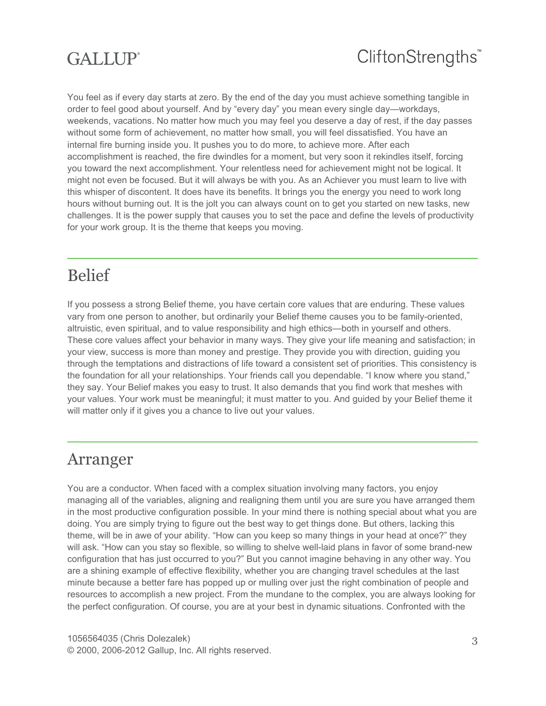### **GALLUP**<sup>®</sup>

### CliftonStrengths<sup>"</sup>

You feel as if every day starts at zero. By the end of the day you must achieve something tangible in order to feel good about yourself. And by "every day" you mean every single day—workdays, weekends, vacations. No matter how much you may feel you deserve a day of rest, if the day passes without some form of achievement, no matter how small, you will feel dissatisfied. You have an internal fire burning inside you. It pushes you to do more, to achieve more. After each accomplishment is reached, the fire dwindles for a moment, but very soon it rekindles itself, forcing you toward the next accomplishment. Your relentless need for achievement might not be logical. It might not even be focused. But it will always be with you. As an Achiever you must learn to live with this whisper of discontent. It does have its benefits. It brings you the energy you need to work long hours without burning out. It is the jolt you can always count on to get you started on new tasks, new challenges. It is the power supply that causes you to set the pace and define the levels of productivity for your work group. It is the theme that keeps you moving.

#### Belief

If you possess a strong Belief theme, you have certain core values that are enduring. These values vary from one person to another, but ordinarily your Belief theme causes you to be family-oriented, altruistic, even spiritual, and to value responsibility and high ethics—both in yourself and others. These core values affect your behavior in many ways. They give your life meaning and satisfaction; in your view, success is more than money and prestige. They provide you with direction, guiding you through the temptations and distractions of life toward a consistent set of priorities. This consistency is the foundation for all your relationships. Your friends call you dependable. "I know where you stand," they say. Your Belief makes you easy to trust. It also demands that you find work that meshes with your values. Your work must be meaningful; it must matter to you. And guided by your Belief theme it will matter only if it gives you a chance to live out your values.

#### Arranger

You are a conductor. When faced with a complex situation involving many factors, you enjoy managing all of the variables, aligning and realigning them until you are sure you have arranged them in the most productive configuration possible. In your mind there is nothing special about what you are doing. You are simply trying to figure out the best way to get things done. But others, lacking this theme, will be in awe of your ability. "How can you keep so many things in your head at once?" they will ask. "How can you stay so flexible, so willing to shelve well-laid plans in favor of some brand-new configuration that has just occurred to you?" But you cannot imagine behaving in any other way. You are a shining example of effective flexibility, whether you are changing travel schedules at the last minute because a better fare has popped up or mulling over just the right combination of people and resources to accomplish a new project. From the mundane to the complex, you are always looking for the perfect configuration. Of course, you are at your best in dynamic situations. Confronted with the